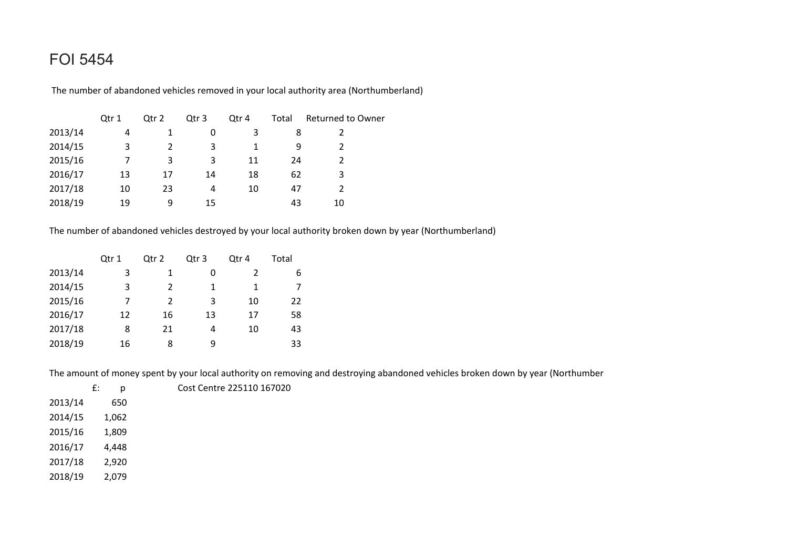## FOI 5454

The number of abandoned vehicles removed in your local authority area (Northumberland)

|         | Qtr 1 | Qtr 2 | Qtr 3 | Qtr 4 | Total | <b>Returned to Owner</b> |
|---------|-------|-------|-------|-------|-------|--------------------------|
| 2013/14 | 4     |       | 0     | 3     | 8     |                          |
| 2014/15 | 3     |       | 3     |       | q     |                          |
| 2015/16 |       | 3     | 3     | 11    | 24    |                          |
| 2016/17 | 13    | 17    | 14    | 18    | 62    | 3                        |
| 2017/18 | 10    | 23    | 4     | 10    | 47    |                          |
| 2018/19 | 19    | 9     | 15    |       | 43    | 10                       |

The number of abandoned vehicles destroyed by your local authority broken down by year (Northumberland)

|         | Qtr 1 | Otr <sub>2</sub> | Qtr 3 | Qtr 4 | Total |
|---------|-------|------------------|-------|-------|-------|
| 2013/14 | 3     |                  | 0     | 2     | 6     |
| 2014/15 | 3     | 2                | 1     | 1     |       |
| 2015/16 | 7     | 2                | 3     | 10    | 22    |
| 2016/17 | 12    | 16               | 13    | 17    | 58    |
| 2017/18 | 8     | 21               | 4     | 10    | 43    |
| 2018/19 | 16    | 8                | q     |       | 33    |

The amount of money spent by your local authority on removing and destroying abandoned vehicles broken down by year (Northumber

|         | £:<br>n | Cost Centre 225110 167020 |
|---------|---------|---------------------------|
| 2013/14 | 650     |                           |
| 2014/15 | 1,062   |                           |
| 2015/16 | 1,809   |                           |
| 2016/17 | 4.448   |                           |

- 2017/18 2,920)
- 2018/19 2,079)